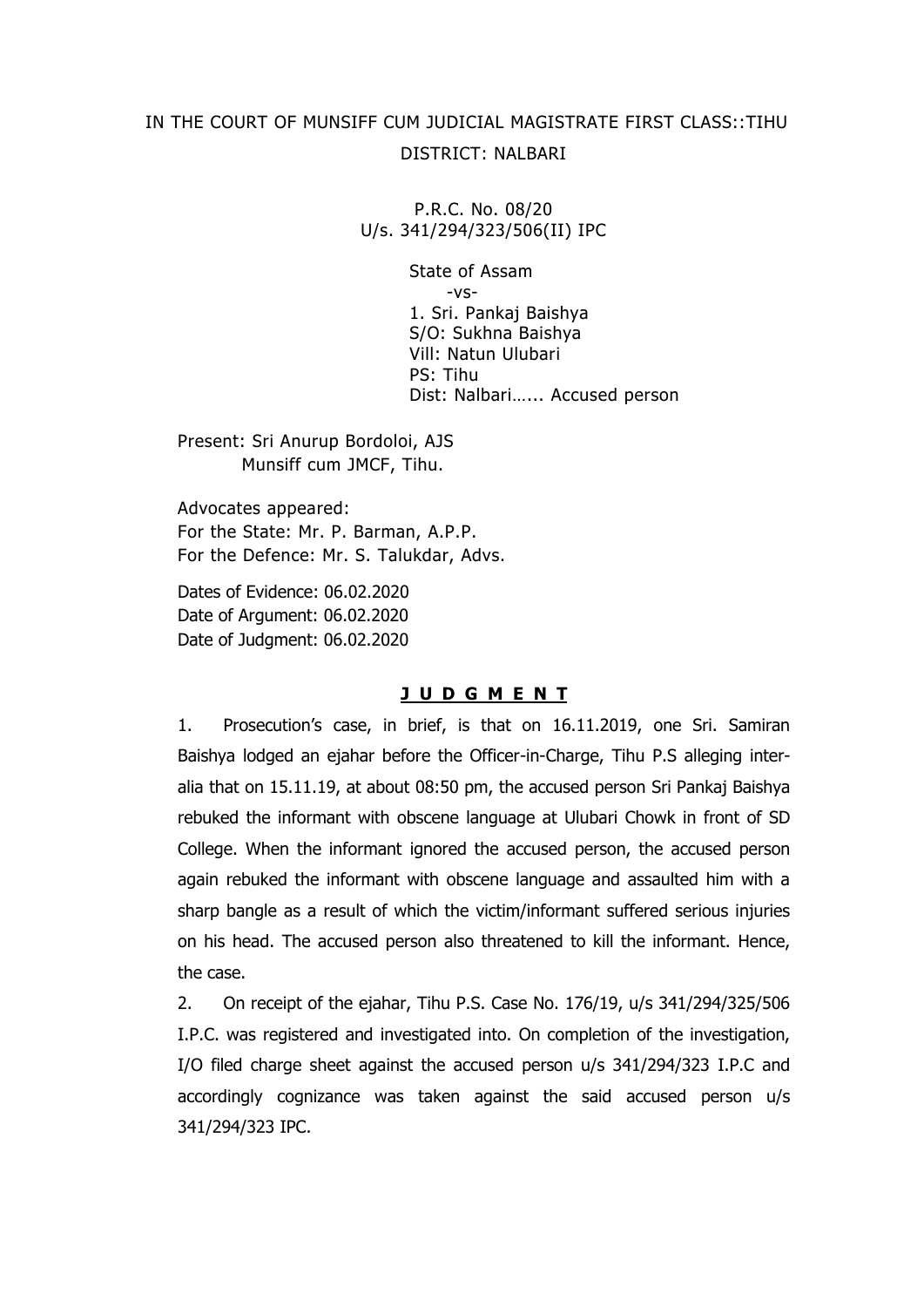# IN THE COURT OF MUNSIFF CUM JUDICIAL MAGISTRATE FIRST CLASS::TIHU DISTRICT: NALBARI

P.R.C. No. 08/20 U/s. 341/294/323/506(II) IPC

> State of Assam -vs-1. Sri. Pankaj Baishya S/O: Sukhna Baishya Vill: Natun Ulubari PS: Tihu Dist: Nalbari…... Accused person

Present: Sri Anurup Bordoloi, AJS Munsiff cum JMCF, Tihu.

Advocates appeared: For the State: Mr. P. Barman, A.P.P. For the Defence: Mr. S. Talukdar, Advs.

Dates of Evidence: 06.02.2020 Date of Argument: 06.02.2020 Date of Judgment: 06.02.2020

## **J U D G M E N T**

1. Prosecution's case, in brief, is that on 16.11.2019, one Sri. Samiran Baishya lodged an ejahar before the Officer-in-Charge, Tihu P.S alleging interalia that on 15.11.19, at about 08:50 pm, the accused person Sri Pankaj Baishya rebuked the informant with obscene language at Ulubari Chowk in front of SD College. When the informant ignored the accused person, the accused person again rebuked the informant with obscene language and assaulted him with a sharp bangle as a result of which the victim/informant suffered serious injuries on his head. The accused person also threatened to kill the informant. Hence, the case.

2. On receipt of the ejahar, Tihu P.S. Case No. 176/19, u/s 341/294/325/506 I.P.C. was registered and investigated into. On completion of the investigation, I/O filed charge sheet against the accused person u/s 341/294/323 I.P.C and accordingly cognizance was taken against the said accused person u/s 341/294/323 IPC.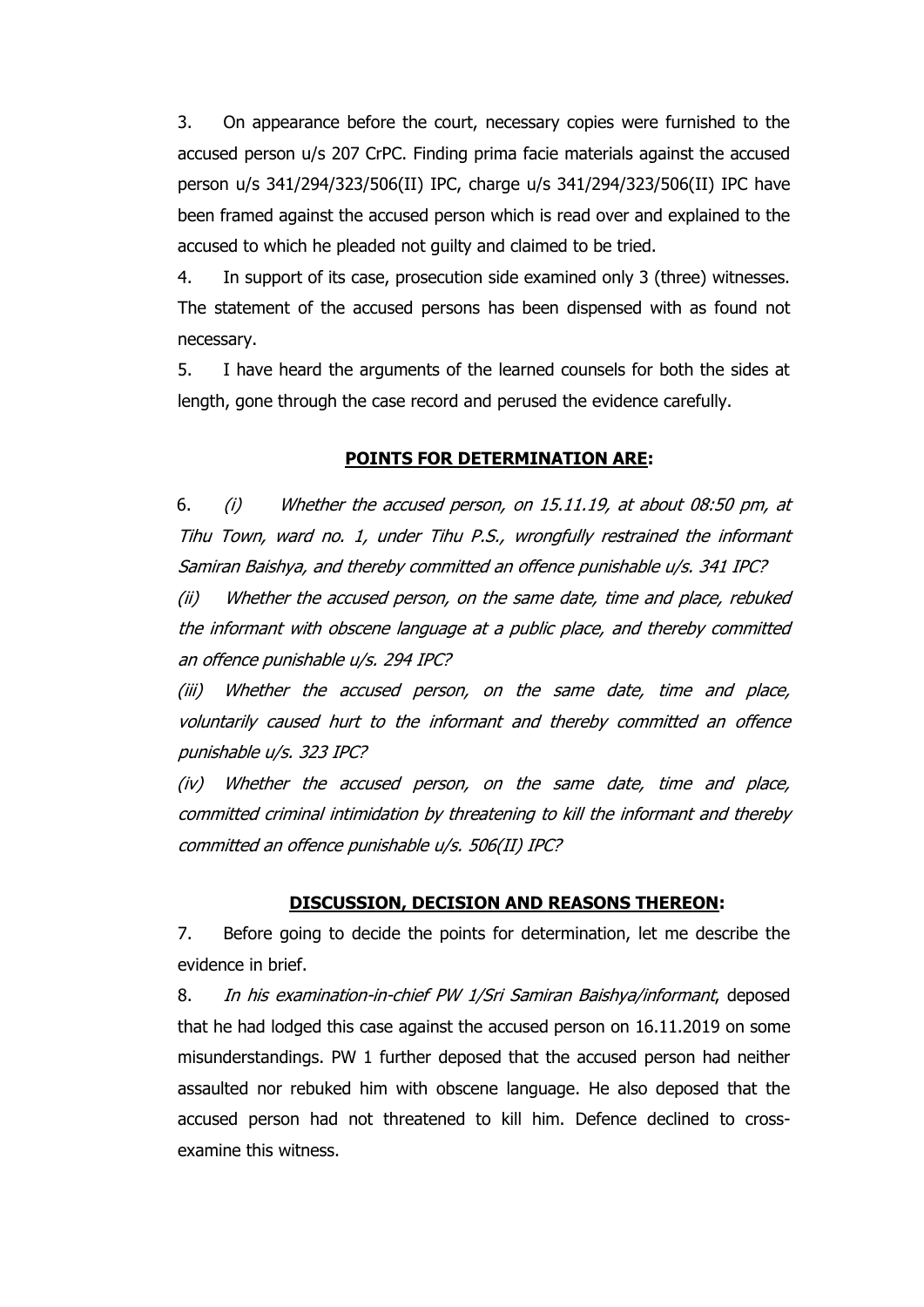3. On appearance before the court, necessary copies were furnished to the accused person u/s 207 CrPC. Finding prima facie materials against the accused person u/s 341/294/323/506(II) IPC, charge u/s 341/294/323/506(II) IPC have been framed against the accused person which is read over and explained to the accused to which he pleaded not guilty and claimed to be tried.

4. In support of its case, prosecution side examined only 3 (three) witnesses. The statement of the accused persons has been dispensed with as found not necessary.

5. I have heard the arguments of the learned counsels for both the sides at length, gone through the case record and perused the evidence carefully.

### **POINTS FOR DETERMINATION ARE:**

6. (i) Whether the accused person, on 15.11.19, at about 08:50 pm, at Tihu Town, ward no. 1, under Tihu P.S., wrongfully restrained the informant Samiran Baishya, and thereby committed an offence punishable u/s. 341 IPC?

(ii) Whether the accused person, on the same date, time and place, rebuked the informant with obscene language at a public place, and thereby committed an offence punishable u/s. 294 IPC?

(iii) Whether the accused person, on the same date, time and place, voluntarily caused hurt to the informant and thereby committed an offence punishable u/s. 323 IPC?

(iv) Whether the accused person, on the same date, time and place, committed criminal intimidation by threatening to kill the informant and thereby committed an offence punishable u/s. 506(II) IPC?

## **DISCUSSION, DECISION AND REASONS THEREON:**

7. Before going to decide the points for determination, let me describe the evidence in brief.

8. In his examination-in-chief PW 1/Sri Samiran Baishya/informant, deposed that he had lodged this case against the accused person on 16.11.2019 on some misunderstandings. PW 1 further deposed that the accused person had neither assaulted nor rebuked him with obscene language. He also deposed that the accused person had not threatened to kill him. Defence declined to crossexamine this witness.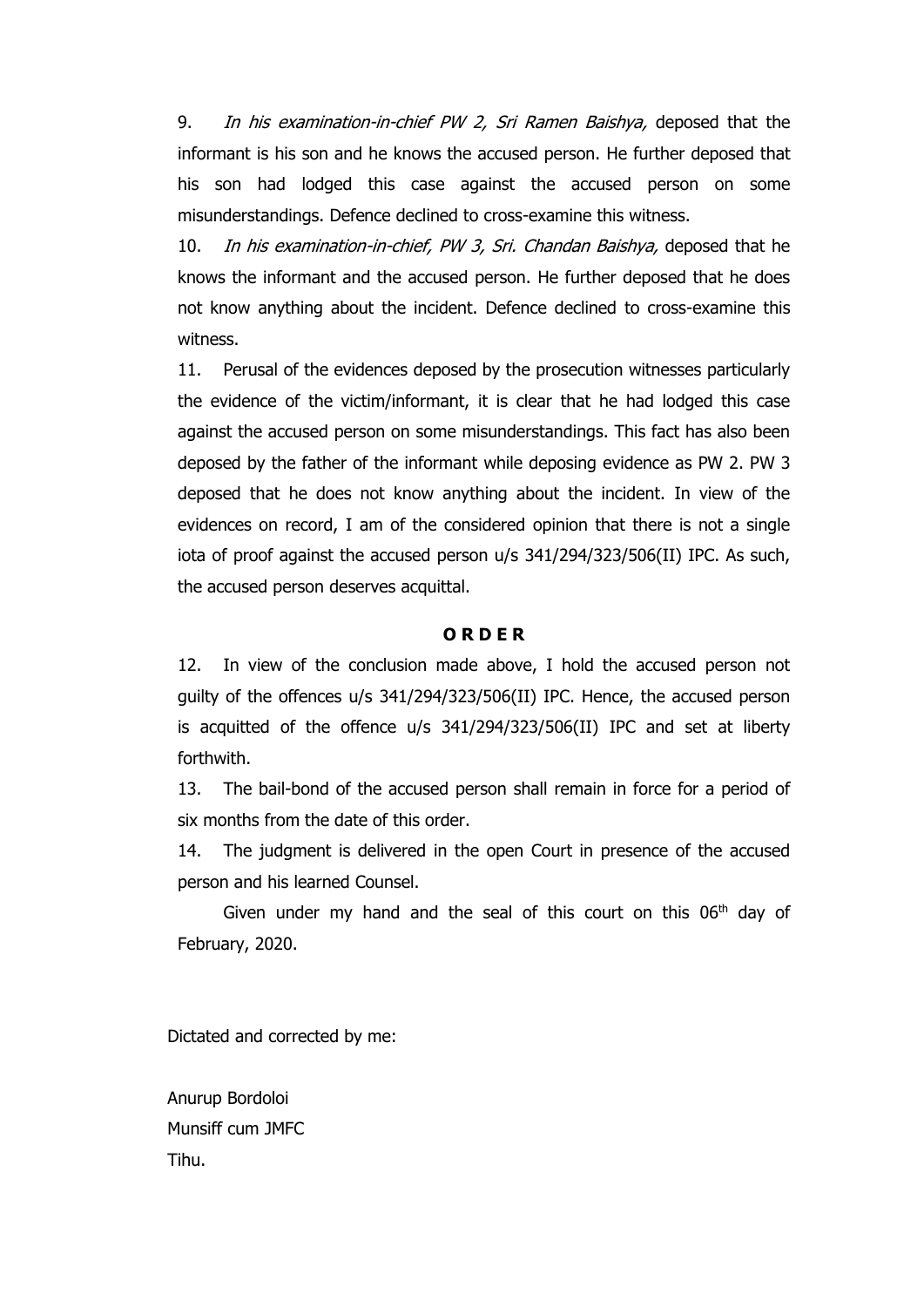9. In his examination-in-chief PW 2, Sri Ramen Baishya, deposed that the informant is his son and he knows the accused person. He further deposed that his son had lodged this case against the accused person on some misunderstandings. Defence declined to cross-examine this witness.

10. In his examination-in-chief, PW 3, Sri. Chandan Baishya, deposed that he knows the informant and the accused person. He further deposed that he does not know anything about the incident. Defence declined to cross-examine this witness.

11. Perusal of the evidences deposed by the prosecution witnesses particularly the evidence of the victim/informant, it is clear that he had lodged this case against the accused person on some misunderstandings. This fact has also been deposed by the father of the informant while deposing evidence as PW 2. PW 3 deposed that he does not know anything about the incident. In view of the evidences on record, I am of the considered opinion that there is not a single iota of proof against the accused person u/s 341/294/323/506(II) IPC. As such, the accused person deserves acquittal.

#### **O R D E R**

12. In view of the conclusion made above, I hold the accused person not guilty of the offences u/s 341/294/323/506(II) IPC. Hence, the accused person is acquitted of the offence u/s 341/294/323/506(II) IPC and set at liberty forthwith.

13. The bail-bond of the accused person shall remain in force for a period of six months from the date of this order.

14. The judgment is delivered in the open Court in presence of the accused person and his learned Counsel.

Given under my hand and the seal of this court on this  $06<sup>th</sup>$  day of February, 2020.

Dictated and corrected by me:

Anurup Bordoloi Munsiff cum JMFC Tihu.